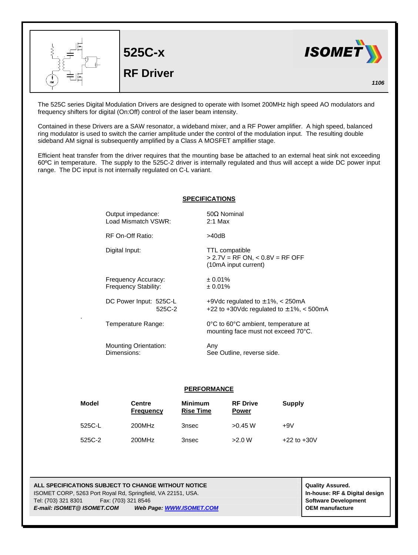

The 525C series Digital Modulation Drivers are designed to operate with Isomet 200MHz high speed AO modulators and frequency shifters for digital (On:Off) control of the laser beam intensity.

Contained in these Drivers are a SAW resonator, a wideband mixer, and a RF Power amplifier. A high speed, balanced ring modulator is used to switch the carrier amplitude under the control of the modulation input. The resulting double sideband AM signal is subsequently amplified by a Class A MOSFET amplifier stage.

Efficient heat transfer from the driver requires that the mounting base be attached to an external heat sink not exceeding 60ºC in temperature. The supply to the 525C-2 driver is internally regulated and thus will accept a wide DC power input range. The DC input is not internally regulated on C-L variant.

## **SPECIFICATIONS**

| Output impedance:            | $50\Omega$ Nominal                                                          |
|------------------------------|-----------------------------------------------------------------------------|
| Load Mismatch VSWR:          | $2:1$ Max                                                                   |
| RF On-Off Ratio:             | >40dB                                                                       |
| Digital Input:               | TTL compatible<br>$> 2.7V = RF ON, < 0.8V = RF OFF$<br>(10mA input current) |
| Frequency Accuracy:          | ± 0.01%                                                                     |
| Frequency Stability:         | ± 0.01%                                                                     |
| DC Power Input: 525C-L       | +9Vdc regulated to $\pm$ 1%, $\lt$ 250mA                                    |
| 525C-2                       | +22 to +30Vdc regulated to $\pm$ 1%, < 500mA                                |
| Temperature Range:           | 0°C to 60°C ambient, temperature at<br>mounting face must not exceed 70°C.  |
| <b>Mounting Orientation:</b> | Any                                                                         |
| Dimensions:                  | See Outline, reverse side.                                                  |

## **PERFORMANCE**

| Model  | <b>Centre</b><br><b>Frequency</b> | <b>Minimum</b><br><b>Rise Time</b> | <b>RF Drive</b><br><b>Power</b> | <b>Supply</b>   |
|--------|-----------------------------------|------------------------------------|---------------------------------|-----------------|
| 525C-L | 200MHz                            | 3nsec                              | $>0.45$ W                       | $+9V$           |
| 525C-2 | 200MHz                            | 3nsec                              | >2.0 W                          | $+22$ to $+30V$ |

**ALL SPECIFICATIONS SUBJECT TO CHANGE WITHOUT NOTICE And CONTACT ASSURANT CONTRACT ASSURED.** ISOMET CORP, 5263 Port Royal Rd, Springfield, VA 22151, USA. **In-house: RF & Digital design** Tel: (703) 321 8301 Fax: (703) 321 8546 **Software Development** *E-mail: ISOMET@ ISOMET.COM Web Page: WWW.ISOMET.COM* **OEM manufacture**

.